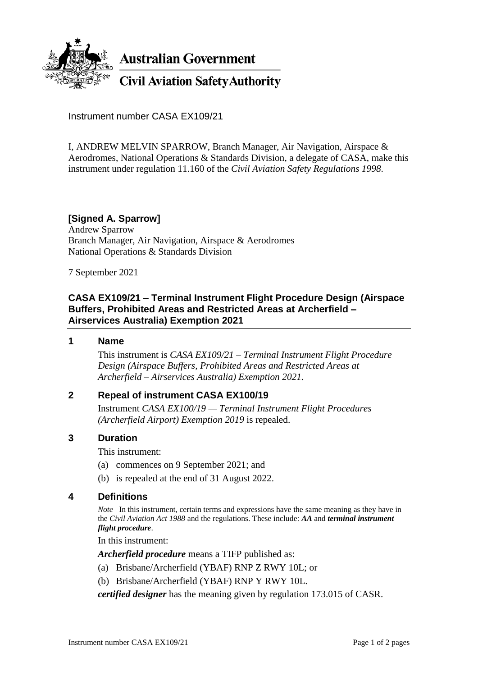

**Australian Government** 

**Civil Aviation Safety Authority** 

Instrument number CASA EX109/21

I, ANDREW MELVIN SPARROW, Branch Manager, Air Navigation, Airspace & Aerodromes, National Operations & Standards Division, a delegate of CASA, make this instrument under regulation 11.160 of the *Civil Aviation Safety Regulations 1998*.

### **[Signed A. Sparrow]**

Andrew Sparrow Branch Manager, Air Navigation, Airspace & Aerodromes National Operations & Standards Division

7 September 2021

### **CASA EX109/21 – Terminal Instrument Flight Procedure Design (Airspace Buffers, Prohibited Areas and Restricted Areas at Archerfield – Airservices Australia) Exemption 2021**

#### **1 Name**

This instrument is *CASA EX109/21 – Terminal Instrument Flight Procedure Design (Airspace Buffers, Prohibited Areas and Restricted Areas at Archerfield – Airservices Australia) Exemption 2021.*

### **2 Repeal of instrument CASA EX100/19**

Instrument *CASA EX100/19 — Terminal Instrument Flight Procedures (Archerfield Airport) Exemption 2019* is repealed.

### **3 Duration**

This instrument:

- (a) commences on 9 September 2021; and
- (b) is repealed at the end of 31 August 2022.

### **4 Definitions**

*Note* In this instrument, certain terms and expressions have the same meaning as they have in the *Civil Aviation Act 1988* and the regulations. These include: *AA* and *terminal instrument flight procedure*.

In this instrument:

*Archerfield procedure* means a TIFP published as:

- (a) Brisbane/Archerfield (YBAF) RNP Z RWY 10L; or
- (b) Brisbane/Archerfield (YBAF) RNP Y RWY 10L.

*certified designer* has the meaning given by regulation 173.015 of CASR.